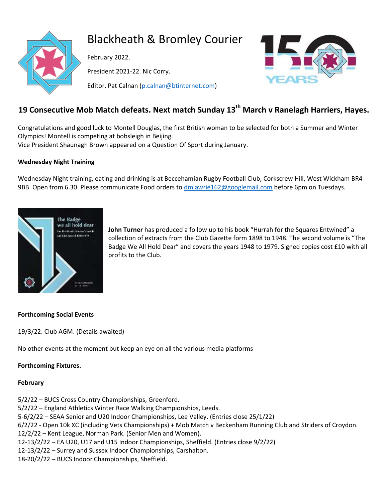

# Blackheath & Bromley Courier

February 2022.

President 2021-22. Nic Corry.

Editor. Pat Calnan [\(p.calnan@btinternet.com\)](mailto:p.calnan@btinternet.com)



## **19 Consecutive Mob Match defeats. Next match Sunday 13th March v Ranelagh Harriers, Hayes.**

Congratulations and good luck to Montell Douglas, the first British woman to be selected for both a Summer and Winter Olympics! Montell is competing at bobsleigh in Beijing. Vice President Shaunagh Brown appeared on a Question Of Sport during January.

## **Wednesday Night Training**

Wednesday Night training, eating and drinking is at Beccehamian Rugby Football Club, Corkscrew Hill, West Wickham BR4 9BB. Open from 6.30. Please communicate Food orders to [dmlawrie162@googlemail.com](mailto:dmlawrie162@googlemail.com) before 6pm on Tuesdays.



**John Turner** has produced a follow up to his book "Hurrah for the Squares Entwined" a collection of extracts from the Club Gazette form 1898 to 1948. The second volume is "The Badge We All Hold Dear" and covers the years 1948 to 1979. Signed copies cost £10 with all profits to the Club.

## **Forthcoming Social Events**

19/3/22. Club AGM. (Details awaited)

No other events at the moment but keep an eye on all the various media platforms

## **Forthcoming Fixtures.**

## **February**

5/2/22 – BUCS Cross Country Championships, Greenford.

5/2/22 – England Athletics Winter Race Walking Championships, Leeds.

5-6/2/22 – SEAA Senior and U20 Indoor Championships, Lee Valley. (Entries close 25/1/22)

6/2/22 - Open 10k XC (including Vets Championships) + Mob Match v Beckenham Running Club and Striders of Croydon.

12/2/22 – Kent League, Norman Park. (Senior Men and Women).

12-13/2/22 – EA U20, U17 and U15 Indoor Championships, Sheffield. (Entries close 9/2/22)

12-13/2/22 – Surrey and Sussex Indoor Championships, Carshalton.

18-20/2/22 – BUCS Indoor Championships, Sheffield.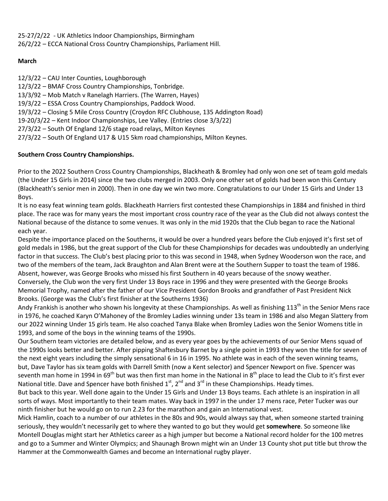25-27/2/22 - UK Athletics Indoor Championships, Birmingham 26/2/22 – ECCA National Cross Country Championships, Parliament Hill.

## **March**

12/3/22 – CAU Inter Counties, Loughborough 12/3/22 – BMAF Cross Country Championships, Tonbridge. 13/3/92 – Mob Match v Ranelagh Harriers. (The Warren, Hayes) 19/3/22 – ESSA Cross Country Championships, Paddock Wood. 19/3/22 – Closing 5 Mile Cross Country (Croydon RFC Clubhouse, 135 Addington Road) 19-20/3/22 – Kent Indoor Championships, Lee Valley. (Entries close 3/3/22) 27/3/22 – South Of England 12/6 stage road relays, Milton Keynes 27/3/22 – South Of England U17 & U15 5km road championships, Milton Keynes.

## **Southern Cross Country Championships.**

Prior to the 2022 Southern Cross Country Championships, Blackheath & Bromley had only won one set of team gold medals (the Under 15 Girls in 2014) since the two clubs merged in 2003. Only one other set of golds had been won this Century (Blackheath's senior men in 2000). Then in one day we win two more. Congratulations to our Under 15 Girls and Under 13 Boys.

It is no easy feat winning team golds. Blackheath Harriers first contested these Championships in 1884 and finished in third place. The race was for many years the most important cross country race of the year as the Club did not always contest the National because of the distance to some venues. It was only in the mid 1920s that the Club began to race the National each year.

Despite the importance placed on the Southerns, it would be over a hundred years before the Club enjoyed it's first set of gold medals in 1986, but the great support of the Club for these Championships for decades was undoubtedly an underlying factor in that success. The Club's best placing prior to this was second in 1948, when Sydney Wooderson won the race, and two of the members of the team, Jack Braughton and Alan Brent were at the Southern Supper to toast the team of 1986. Absent, however, was George Brooks who missed his first Southern in 40 years because of the snowy weather. Conversely, the Club won the very first Under 13 Boys race in 1996 and they were presented with the George Brooks Memorial Trophy, named after the father of our Vice President Gordon Brooks and grandfather of Past President Nick Brooks. (George was the Club's first finisher at the Southerns 1936)

Andy Frankish is another who shown his longevity at these Championships. As well as finishing 113<sup>th</sup> in the Senior Mens race in 1976, he coached Karyn O'Mahoney of the Bromley Ladies winning under 13s team in 1986 and also Megan Slattery from our 2022 winning Under 15 girls team. He also coached Tanya Blake when Bromley Ladies won the Senior Womens title in 1993, and some of the boys in the winning teams of the 1990s.

Our Southern team victories are detailed below, and as every year goes by the achievements of our Senior Mens squad of the 1990s looks better and better. After pipping Shaftesbury Barnet by a single point in 1993 they won the title for seven of the next eight years including the simply sensational 6 in 16 in 1995. No athlete was in each of the seven winning teams, but, Dave Taylor has six team golds with Darrell Smith (now a Kent selector) and Spencer Newport on five. Spencer was seventh man home in 1994 in 69<sup>th</sup> but was then first man home in the National in 8<sup>th</sup> place to lead the Club to it's first ever National title. Dave and Spencer have both finished  $1<sup>st</sup>$ ,  $2<sup>nd</sup>$  and  $3<sup>rd</sup>$  in these Championships. Heady times.

But back to this year. Well done again to the Under 15 Girls and Under 13 Boys teams. Each athlete is an inspiration in all sorts of ways. Most importantly to their team mates. Way back in 1997 in the under 17 mens race, Peter Tucker was our ninth finisher but he would go on to run 2.23 for the marathon and gain an International vest.

Mick Hamlin, coach to a number of our athletes in the 80s and 90s, would always say that, when someone started training seriously, they wouldn't necessarily get to where they wanted to go but they would get **somewhere**. So someone like Montell Douglas might start her Athletics career as a high jumper but become a National record holder for the 100 metres and go to a Summer and Winter Olympics; and Shaunagh Brown might win an Under 13 County shot put title but throw the Hammer at the Commonwealth Games and become an International rugby player.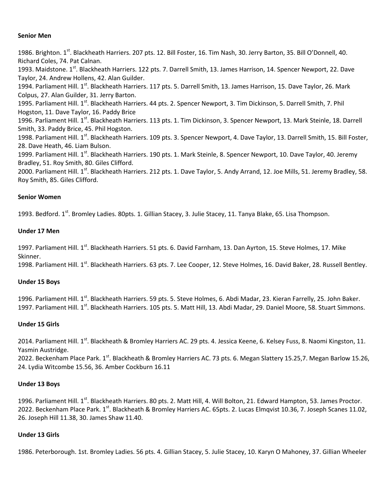#### **Senior Men**

1986. Brighton. 1<sup>st</sup>. Blackheath Harriers. 207 pts. 12. Bill Foster, 16. Tim Nash, 30. Jerry Barton, 35. Bill O'Donnell, 40. Richard Coles, 74. Pat Calnan. 1993. Maidstone. 1<sup>st</sup>. Blackheath Harriers. 122 pts. 7. Darrell Smith, 13. James Harrison, 14. Spencer Newport, 22. Dave Taylor, 24. Andrew Hollens, 42. Alan Guilder. 1994. Parliament Hill. 1<sup>st</sup>. Blackheath Harriers. 117 pts. 5. Darrell Smith, 13. James Harrison, 15. Dave Taylor, 26. Mark Colpus, 27. Alan Guilder, 31. Jerry Barton. 1995. Parliament Hill. 1<sup>st</sup>. Blackheath Harriers. 44 pts. 2. Spencer Newport, 3. Tim Dickinson, 5. Darrell Smith, 7. Phil Hogston, 11. Dave Taylor, 16. Paddy Brice 1996. Parliament Hill. 1<sup>st</sup>. Blackheath Harriers. 113 pts. 1. Tim Dickinson, 3. Spencer Newport, 13. Mark Steinle, 18. Darrell Smith, 33. Paddy Brice, 45. Phil Hogston. 1998. Parliament Hill. 1<sup>st</sup>. Blackheath Harriers. 109 pts. 3. Spencer Newport, 4. Dave Taylor, 13. Darrell Smith, 15. Bill Foster, 28. Dave Heath, 46. Liam Bulson. 1999. Parliament Hill. 1<sup>st</sup>. Blackheath Harriers. 190 pts. 1. Mark Steinle, 8. Spencer Newport, 10. Dave Taylor, 40. Jeremy Bradley, 51. Roy Smith, 80. Giles Clifford. 2000. Parliament Hill. 1<sup>st</sup>. Blackheath Harriers. 212 pts. 1. Dave Taylor, 5. Andy Arrand, 12. Joe Mills, 51. Jeremy Bradley, 58. Roy Smith, 85. Giles Clifford.

#### **Senior Women**

1993. Bedford. 1<sup>st</sup>. Bromley Ladies. 80pts. 1. Gillian Stacey, 3. Julie Stacey, 11. Tanya Blake, 65. Lisa Thompson.

#### **Under 17 Men**

1997. Parliament Hill. 1<sup>st</sup>. Blackheath Harriers. 51 pts. 6. David Farnham, 13. Dan Ayrton, 15. Steve Holmes, 17. Mike Skinner.

1998. Parliament Hill. 1<sup>st</sup>. Blackheath Harriers. 63 pts. 7. Lee Cooper, 12. Steve Holmes, 16. David Baker, 28. Russell Bentley.

#### **Under 15 Boys**

1996. Parliament Hill. 1<sup>st</sup>. Blackheath Harriers. 59 pts. 5. Steve Holmes, 6. Abdi Madar, 23. Kieran Farrelly, 25. John Baker. 1997. Parliament Hill. 1<sup>st</sup>. Blackheath Harriers. 105 pts. 5. Matt Hill, 13. Abdi Madar, 29. Daniel Moore, 58. Stuart Simmons.

#### **Under 15 Girls**

2014. Parliament Hill. 1<sup>st</sup>. Blackheath & Bromley Harriers AC. 29 pts. 4. Jessica Keene, 6. Kelsey Fuss, 8. Naomi Kingston, 11. Yasmin Austridge.

2022. Beckenham Place Park. 1<sup>st</sup>. Blackheath & Bromley Harriers AC. 73 pts. 6. Megan Slattery 15.25,7. Megan Barlow 15.26, 24. Lydia Witcombe 15.56, 36. Amber Cockburn 16.11

#### **Under 13 Boys**

1996. Parliament Hill. 1<sup>st</sup>. Blackheath Harriers. 80 pts. 2. Matt Hill, 4. Will Bolton, 21. Edward Hampton, 53. James Proctor. 2022. Beckenham Place Park. 1st. Blackheath & Bromley Harriers AC. 65pts. 2. Lucas Elmqvist 10.36, 7. Joseph Scanes 11.02, 26. Joseph Hill 11.38, 30. James Shaw 11.40.

## **Under 13 Girls**

1986. Peterborough. 1st. Bromley Ladies. 56 pts. 4. Gillian Stacey, 5. Julie Stacey, 10. Karyn O Mahoney, 37. Gillian Wheeler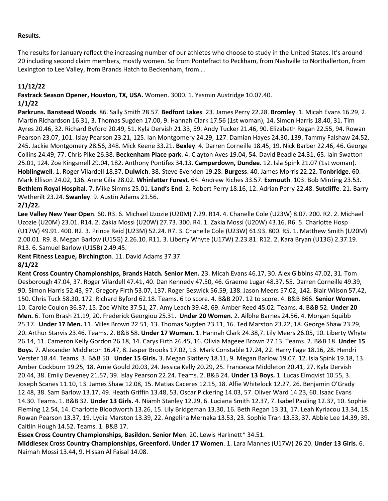## **Results.**

The results for January reflect the increasing number of our athletes who choose to study in the United States. It's around 20 including second claim members, mostly women. So from Pontefract to Peckham, from Nashville to Northallerton, from Lexington to Lee Valley, from Brands Hatch to Beckenham, from….

## **11/12/22**

**Fastrack Season Opener, Houston, TX, USA.** Women. 3000. 1. Yasmin Austridge 10.07.40. **1/1/22**

**Parkruns. Banstead Woods**. 86. Sally Smith 28.57. **Bedfont Lakes**. 23. James Perry 22.28. **Bromley**. 1. Micah Evans 16.29, 2. Martin Richardson 16.31, 3. Thomas Sugden 17.00, 9. Hannah Clark 17.56 (1st woman), 14. Simon Harris 18.40, 31. Tim Ayres 20.46, 32. Richard Byford 20.49, 51. Kyla Dervish 21.33, 59. Andy Tucker 21.46, 90. Elizabeth Regan 22.55, 94. Rowan Pearson 23.07, 101. Islay Pearson 23.21, 125. Ian Montgomery 24.29, 127. Damian Hayes 24.30, 139. Tammy Falshaw 24.52, 245. Jackie Montgomery 28.56, 348. Mick Keene 33.21. **Bexley**. 4. Darren Corneille 18.45, 19. Nick Barber 22.46, 46. George Collins 24.49, 77. Chris Pike 26.38. **Beckenham Place park**. 4. Clayton Aves 19.04, 54. David Beadle 24.31, 65. Iain Swatton 25.01, 124. Zoe Kingsmell 29.04, 182. Anthony Pontifex 34.13. **Camperdown, Dundee**. 12. Isla Spink 21.07 (1st woman). **Hoblingwell**. 1. Roger Vilardell 18.37. **Dulwich**. 38. Steve Evenden 19.28. **Burgess**. 40. James Morris 22.22. **Tonbridge**. 60. Mark Ellison 24.02, 136. Anne Cilia 28.02. **Whinlatter Forest**. 64. Andrew Riches 33.57. **Exmouth**. 103. Bob Minting 23.53. **Bethlem Royal Hospital**. 7. Mike Simms 25.01. **Land's End**. 2. Robert Perry 18.16, 12. Adrian Perry 22.48. **Sutcliffe**. 21. Barry Wetherilt 23.24. **Swanley**. 9. Austin Adams 21.56.

## **2/1/22.**

**Lee Valley New Year Open**. 60. R3. 6. Michael Uzozie (U20M) 7.29. R14. 4. Chanelle Cole (U23W) 8.07. 200. R2. 2. Michael Uzozie (U20M) 23.01. R14. 2. Zakia Mossi (U20W) 27.73. 300. R4. 1. Zakia Mossi (U20W) 43.16. R6. 5. Charlotte Hosp (U17W) 49.91. 400. R2. 3. Prince Reid (U23M) 52.24. R7. 3. Chanelle Cole (U23W) 61.93. 800. R5. 1. Matthew Smith (U20M) 2.00.01. R9. 8. Megan Barlow (U15G) 2.26.10. R11. 3. Liberty Whyte (U17W) 2.23.81. R12. 2. Kara Bryan (U13G) 2.37.19. R13. 6. Samuel Barlow (U15B) 2.49.45.

**Kent Fitness League, Birchington**. 11. David Adams 37.37.

## **8/1/22**

**Kent Cross Country Championships, Brands Hatch. Senior Men.** 23. Micah Evans 46.17, 30. Alex Gibbins 47.02, 31. Tom Desborough 47.04, 37. Roger Vilardell 47.41, 40. Dan Kennedy 47.50, 46. Graeme Lugar 48.37, 55. Darren Corneille 49.39, 90. Simon Harris 52.43, 97. Gregory Firth 53.07, 137. Roger Beswick 56.59, 138. Jason Meers 57.02, 142. Blair Wilson 57.42, 150. Chris Tuck 58.30, 172. Richard Byford 62.18. Teams. 6 to score. 4. B&B 207. 12 to score. 4. B&B 866. **Senior Women.**  10. Carole Coulon 36.37, 15. Zoe White 37.51, 27. Amy Leach 39.48, 69. Amber Reed 45.02. Teams. 4. B&B 52. **Under 20 Men.** 6. Tom Brash 21.19, 20. Frederick Georgiou 25.31. **Under 20 Women.** 2. Ailbhe Barnes 24.56, 4. Morgan Squibb 25.17. **Under 17 Men.** 11. Miles Brown 22.51, 13. Thomas Sugden 23.11, 16. Ted Marston 23.22, 18. George Shaw 23.29, 20. Arthur Starvis 23.46. Teams. 2. B&B 58. **Under 17 Women.** 1. Hannah Clark 24.38,7. Lily Meers 26.05, 10. Liberty Whyte 26.14, 11. Cameron Kelly Gordon 26.18, 14. Carys Firth 26.45, 16. Olivia Mageee Brown 27.13. Teams. 2. B&B 18. **Under 15 Boys.** 7. Alexander Middleton 16.47, 8. Jasper Brooks 17.02, 13. Mark Constable 17.24, 22. Harry Fage 18.16, 28. Hendri Verster 18.44. Teams. 3. B&B 50. **Under 15 Girls.** 3. Megan Slattery 18.11, 9. Megan Barlow 19.07, 12. Isla Spink 19.18, 13. Amber Cockburn 19.25, 18. Amie Gould 20.03, 24. Jessica Kelly 20.29, 25. Francesca Middleton 20.41, 27. Kyla Dervish 20.44, 38. Emily Deveney 21.57, 39. Islay Pearson 22.24. Teams. 2. B&B 24. **Under 13 Boys.** 1. Lucas Elmqvist 10.55, 3. Joseph Scanes 11.10, 13. James Shaw 12.08, 15. Matias Caceres 12.15, 18. Alfie Whitelock 12.27, 26. Benjamin O'Grady 12.48, 38. Sam Barlow 13.17, 49. Heath Griffin 13.48, 53. Oscar Pickering 14.03, 57. Oliver Ward 14.23, 60. Isaac Evans 14.30. Teams. 1. B&B 32. **Under 13 Girls.** 4. Niamh Stanley 12.29, 6. Luciana Smith 12.37, 7. Isabel Pauling 12.37, 10. Sophie Fleming 12.54, 14. Charlotte Bloodworth 13.26, 15. Lily Bridgeman 13.30, 16. Beth Regan 13.31, 17. Leah Kyriacou 13.34, 18. Rowan Pearson 13.37, 19. Lydia Marston 13.39, 22. Angelina Mernaka 13.53, 23. Sophie Tran 13.53, 37. Abbie Lee 14.39, 39. Caitlin Hough 14.52. Teams. 1. B&B 17.

**Essex Cross Country Championships, Basildon. Senior Men**. 20. Lewis Harknett\* 34.51.

**Middlesex Cross Country Championships, Greenford. Under 17 Women**. 1. Lara Mannes (U17W) 26.20. **Under 13 Girls**. 6. Naimah Mossi 13.44, 9. Hissan Al Faisal 14.08.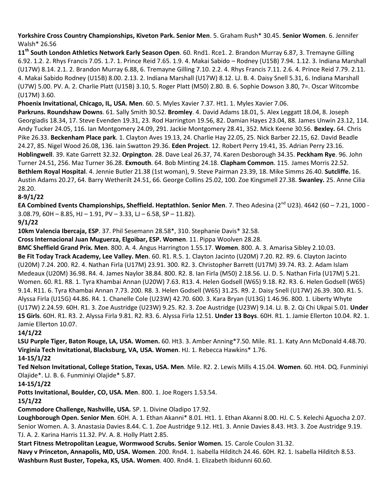**Yorkshire Cross Country Championships, Kiveton Park. Senior Men**. 5. Graham Rush\* 30.45. **Senior Women**. 6. Jennifer Walsh\* 26.56

**11th South London Athletics Network Early Season Open**. 60. Rnd1. Rce1. 2. Brandon Murray 6.87, 3. Tremayne Gilling 6.92. 1.2. 2. Rhys Francis 7.05. 1.7. 1. Prince Reid 7.65. 1.9. 4. Makai Sabido – Rodney (U15B) 7.94. 1.12. 3. Indiana Marshall (U17W) 8.14. 2.1. 2. Brandon Murray 6.88, 6. Tremayne Gilling 7.10. 2.2. 4. Rhys Francis 7.11. 2.6. 4. Prince Reid 7.79. 2.11. 4. Makai Sabido Rodney (U15B) 8.00. 2.13. 2. Indiana Marshall (U17W) 8.12. LJ. B. 4. Daisy Snell 5.31, 6. Indiana Marshall (U7W) 5.00. PV. A. 2. Charlie Platt (U15B) 3.10, 5. Roger Platt (M50) 2.80. B. 6. Sophie Dowson 3.80, 7=. Oscar Witcombe (U17M) 3.60.

**Phoenix Invitational, Chicago, IL, USA. Men**. 60. 5. Myles Xavier 7.37. Ht1. 1. Myles Xavier 7.06.

**Parkruns. Roundshaw Downs**. 61. Sally Smith 30.52. **Bromley**. 4. David Adams 18.01, 5. Alex Leggatt 18.04, 8. Joseph Georgiadis 18.34, 17. Steve Evenden 19.31, 23. Rod Harrington 19.56, 82. Damian Hayes 23.04, 88. James Unwin 23.12, 114. Andy Tucker 24.05, 116. Ian Montgomery 24.09, 291. Jackie Montgomery 28.41, 352. Mick Keene 30.56. **Bexley.** 64. Chris Pike 26.33. **Beckenham Place park**. 1. Clayton Aves 19.13, 24. Charlie Hay 22.05, 25. Nick Barber 22.15, 62. David Beadle 24.27, 85. Nigel Wood 26.08, 136. Iain Swatton 29.36. **Eden Project**. 12. Robert Perry 19.41, 35. Adrian Perry 23.16. **Hoblingwell**. 39. Kate Garrett 32.32. **Orpington**. 28. Dave Leal 26.37, 74. Karen Desborough 34.35. **Peckham Rye**. 96. John Turner 24.51, 256. Maz Turner 36.28. **Exmouth**. 64. Bob Minting 24.18. **Clapham Common**. 115. James Morris 22.52. **Bethlem Royal Hospital**. 4. Jennie Butler 21.38 (1st woman), 9. Steve Pairman 23.39, 18. Mike Simms 26.40. **Sutcliffe.** 16. Austin Adams 20.27, 64. Barry Wetherilt 24.51, 66. George Collins 25.02, 100. Zoe Kingsmell 27.38. **Swanley.** 25. Anne Cilia 28.20.

## **8-9/1/22**

**EA Combined Events Championships, Sheffield. Heptathlon. Senior Men**. 7. Theo Adesina (2<sup>nd</sup> U23). 4642 (60 – 7.21, 1000 - $3.08.79$ ,  $60H - 8.85$ ,  $HJ - 1.91$ ,  $PV - 3.33$ ,  $LI - 6.58$ ,  $SP - 11.82$ ).

**9/1/22**

**10km Valencia Ibercaja, ESP**. 37. Phil Sesemann 28.58\*, 310. Stephanie Davis\* 32.58.

**Cross Internacional Juan Muguerza, Elgoibar, ESP. Women**. 11. Pippa Woolven 28.28.

**BMC Sheffield Grand Prix. Men**. 800. A. 4. Angus Harrington 1.55.17. **Women**. 800. A. 3. Amarisa Sibley 2.10.03. **Be Fit Today Track Academy, Lee Valley. Men**. 60. R1. R.5. 1. Clayton Jacinto (U20M) 7.20. R2. R9. 6. Clayton Jacinto (U20M) 7.24. 200. R2. 4. Nathan Firla (U17M) 23.91. 300. R2. 3. Christopher Barrett (U17M) 39.74. R3. 2. Adam Islam Medeaux (U20M) 36.98. R4. 4. James Naylor 38.84. 800. R2. 8. Ian Firla (M50) 2.18.56. LJ. D. 5. Nathan Firla (U17M) 5.21. Women. 60. R1. R8. 1. Tyra Khambai Annan (U20W) 7.63. R13. 4. Helen Godsell (W65) 9.18. R2. R3. 6. Helen Godsell (W65) 9.14. R11. 6. Tyra Khambai Annan 7.73. 200. R8. 3. Helen Godsell (W65) 31.25. R9. 2. Daisy Snell (U17W) 26.39. 300. R1. 5. Alyssa Firla (U15G) 44.86. R4. 1. Chanelle Cole (U23W) 42.70. 600. 3. Kara Bryan (U13G) 1.46.96. 800. 1. Liberty Whyte (U17W) 2.24.59. 60H. R1. 3. Zoe Austridge (U23W) 9.25. R2. 3. Zoe Austridge (U23W) 9.14. LJ. B. 2. Qi Chi Ukpai 5.01. **Under 15 Girls**. 60H. R1. R3. 2. Alyssa Firla 9.81. R2. R3. 6. Alyssa Firla 12.51. **Under 13 Boys**. 60H. R1. 1. Jamie Ellerton 10.04. R2. 1. Jamie Ellerton 10.07.

**14/1/22**

**LSU Purple Tiger, Baton Rouge, LA, USA. Women.** 60. Ht3. 3. Amber Anning\*7.50. Mile. R1. 1. Katy Ann McDonald 4.48.70. **Virginia Tech Invitational, Blacksburg, VA, USA. Women**. HJ. 1. Rebecca Hawkins\* 1.76. **14-15/1/22**

**Ted Nelson Invitational, College Station, Texas, USA. Men**. Mile. R2. 2. Lewis Mills 4.15.04. **Women**. 60. Ht4. DQ. Funminiyi Olajide\*. LJ. B. 6. Funminiyi Olajide\* 5.87.

**14-15/1/22**

**Potts Invitational, Boulder, CO, USA. Men**. 800. 1. Joe Rogers 1.53.54.

**15/1/22**

**Commodore Challenge, Nashville, USA.** SP. 1. Divine Oladipo 17.92.

**Loughborough Open. Senior Men**. 60H. A. 1. Ethan Akanni\* 8.01. Ht1. 1. Ethan Akanni 8.00. HJ. C. 5. Kelechi Aguocha 2.07. Senior Women. A. 3. Anastasia Davies 8.44. C. 1. Zoe Austridge 9.12. Ht1. 3. Annie Davies 8.43. Ht3. 3. Zoe Austridge 9.19. TJ. A. 2. Karina Harris 11.32. PV. A. 8. Holly Platt 2.85.

**Start Fitness Metropolitan League, Wormwood Scrubs. Senior Women.** 15. Carole Coulon 31.32.

**Navy v Princeton, Annapolis, MD, USA. Women**. 200. Rnd4. 1. Isabella Hilditch 24.46. 60H. R2. 1. Isabella Hilditch 8.53. **Washburn Rust Buster, Topeka, KS, USA. Women**. 400. Rnd4. 1. Elizabeth Ibidunni 60.60.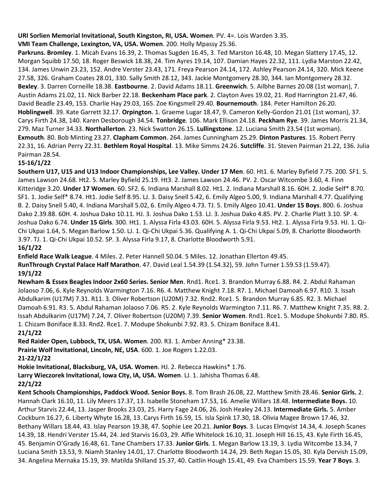## **URI Sorlien Memorial Invitational, South Kingston, RI, USA. Women**. PV. 4=. Lois Warden 3.35.

## **VMI Team Challenge, Lexington, VA, USA. Women**. 200. Holly Mpassy 25.36.

**Parkruns. Bromley**. 1. Micah Evans 16.39, 2. Thomas Sugden 16.45, 3. Ted Marston 16.48, 10. Megan Slattery 17.45, 12. Morgan Squibb 17.50, 18. Roger Beswick 18.38, 24. Tim Ayres 19.14, 107. Damian Hayes 22.32, 111. Lydia Marston 22.42, 134. James Unwin 23.23, 152. Andre Verster 23.43, 171. Freya Pearson 24.14, 172. Ashley Pearson 24.14, 320. Mick Keene 27.58, 326. Graham Coates 28.01, 330. Sally Smith 28.12, 343. Jackie Montgomery 28.30, 344. Ian Montgomery 28.32. **Bexley**. 3. Darren Corneille 18.38. **Eastbourne**. 2. David Adams 18.11. **Greenwich**. 5. Ailbhe Barnes 20.08 (1st woman), 7. Austin Adams 21.02, 11. Nick Barber 22.18. **Beckenham Place park**. 2. Clayton Aves 19.02, 21. Rod Harrington 21.47, 46. David Beadle 23.49, 153. Charlie Hay 29.03, 165. Zoe Kingsmell 29.40. **Bournemouth**. 184. Peter Hamilton 26.20. **Hoblingwell**. 39. Kate Garrett 32.17. **Orpington**. 1. Graeme Lugar 18.47, 9. Cameron Kelly-Gordon 21.01 (1st woman), 37. Carys Firth 24.38, 140. Karen Desborough 34.54. **Tonbridge**. 106. Mark Ellison 24.18. **Peckham Rye**. 39. James Morris 21.34, 279. Maz Turner 34.33. **Northallerton**. 23. Nick Swatton 26.15. **Lullingstone**. 12. Luciana Smith 23.54 (1st woman). **Exmouth**. 80. Bob Minting 23.27. **Clapham Common**. 264. James Cunningham 25.29. **Dinton Pastures**. 15. Robert Perry 22.31, 16. Adrian Perry 22.31. **Bethlem Royal Hospital**. 13. Mike Simms 24.26. **Sutcliffe**. 31. Steven Pairman 21.22, 136. Julia Pairman 28.54.

## **15-16/1/22**

**Southern U17, U15 and U13 Indoor Championships, Lee Valley. Under 17 Men**. 60. Ht1. 6. Marley Byfield 7.75. 200. SF1. 5. James Lawson 24.68. Ht2. 5. Marley Byfield 25.19. Ht3. 2. James Lawson 24.46. PV. 2. Oscar Witcombe 3.60, 4. Finn Kitteridge 3.20. **Under 17 Women**. 60. SF2. 6. Indiana Marshall 8.02. Ht1. 2. Indiana Marshall 8.16. 60H. 2. Jodie Self\* 8.70. SF1. 1. Jodie Self\* 8.74. Ht1. Jodie Self 8.95. LJ. 3. Daisy Snell 5.42, 6. Emily Algeo 5.00, 9. Indiana Marshall 4.77. Qualifying B. 2. Daisy Snell 5.40, 4. Indiana Marshall 5.02, 6. Emily Algeo 4.73. TJ. 5. Emily Algeo 10.41. **Under 15 Boys**. 800. 6. Joshua Dako 2.39.88. 60H. 4. Joshua Dako 10.11. HJ. 3. Joshua Dako 1.53. LJ. 3. Joshua Dako 4.85. PV. 2. Charlie Platt 3.10. SP. 4. Joshua Dako 6.74. **Under 15 Girls**. 300. Ht1. 1. Alyssa Firla 43.03. 60H. 5. Alyssa Firla 9.53. Ht2. 1. Alyssa Firla 9.53. HJ. 1. Qi-Chi Ukpai 1.64, 5. Megan Barlow 1.50. LJ. 1. Qi-Chi Ukpai 5.36. Qualifying A. 1. Qi-Chi Ukpai 5.09, 8. Charlotte Bloodworth 3.97. TJ. 1. Qi-Chi Ukpai 10.52. SP. 3. Alyssa Firla 9.17, 8. Charlotte Bloodworth 5.91.

**16/1/22**

**Enfield Race Walk League**. 4 Miles. 2. Peter Hannell 50.04. 5 Miles. 12. Jonathan Ellerton 49.45.

**RunThrough Crystal Palace Half Marathon**. 47. David Leal 1.54.39 (1.54.32), 59. John Turner 1.59.53 (1.59.47). **19/1/22**

**Newham & Essex Beagles Indoor 2x60 Series. Senior Men**. Rnd1. Rce1. 3. Brandon Murray 6.88. R4. 2. Abdul Rahaman Jolaoso 7.06, 6. Kyle Reynolds Warmington 7.16. R6. 4. Matthew Knight 7.18. R7. 1. Michael Damoah 6.97. R10. 3. Issah Abdulkarim (U17M) 7.31. R11. 3. Oliver Robertson (U20M) 7.32. Rnd2. Rce1. 5. Brandon Murray 6.85. R2. 3. Michael Damoah 6.91. R3. 5. Abdul Rahaman Jolaoso 7.06. R5. 2. Kyle Reynolds Warmington 7.11. R6. 7. Matthew Knight 7.35. R8. 2. Issah Abdulkarim (U17M) 7.24, 7. Oliver Robertson (U20M) 7.39. **Senior Women**. Rnd1. Rce1. 5. Modupe Shokunbi 7.80. R5. 1. Chizam Boniface 8.33. Rnd2. Rce1. 7. Modupe Shokunbi 7.92. R3. 5. Chizam Boniface 8.41.

**21/1/22**

**Red Raider Open, Lubbock, TX, USA. Women**. 200. R3. 1. Amber Anning\* 23.38.

**Prairie Wolf Invitational, Lincoln, NE, USA**. 600. 1. Joe Rogers 1.22.03.

**21-22/1/22**

**Hokie Invitational, Blacksburg, VA, USA. Women**. HJ. 2. Rebecca Hawkins\* 1.76.

**Larry Wieczorek Invitational, Iowa City, IA, USA. Women**. LJ. 1. Jahisha Thomas 6.48.

## **22/1/22**

**Kent Schools Championships, Paddock Wood. Senior Boys.** 8. Tom Brash 26.08, 22. Matthew Smith 28.46. **Senior Girls.** 2. Hannah Clark 16.10, 11. Lily Meers 17.37, 13. Isabelle Stoneham 17.53, 16. Amelie Willars 18.48. **Intermediate Boys.** 10. Arthur Starvis 22.44, 13. Jasper Brooks 23.03, 25. Harry Fage 24.06, 26. Josh Healey 24.13. **Intermediate Girls.** 5. Amber Cockburn 16.27, 6. Liberty Whyte 16.28, 13. Carys Firth 16.59, 15. Isla Spink 17.30, 18. Olivia Magee Brown 17.46, 32. Bethany Willars 18.44, 43. Islay Pearson 19.38, 47. Sophie Lee 20.21. **Junior Boys**. 3. Lucas Elmqvist 14.34, 4. Joseph Scanes 14.39, 18. Hendri Verster 15.44, 24. Jed Starvis 16.03, 29. Alfie Whitelock 16.10, 31. Joseph Hill 16.15, 43. Kyle Firth 16.45, 45. Benjamin O'Grady 16.48, 61. Tane Chambers 17.33. **Junior Girls**. 1. Megan Barlow 13.19, 3. Lydia Witcombe 13.34, 7 Luciana Smith 13.53, 9. Niamh Stanley 14.01, 17. Charlotte Bloodworth 14.24, 29. Beth Regan 15.05, 30. Kyla Dervish 15.09, 34. Angelina Mernaka 15.19, 39. Matilda Shilland 15.37, 40. Caitlin Hough 15.41, 49. Eva Chambers 15.59. **Year 7 Boys**. 3.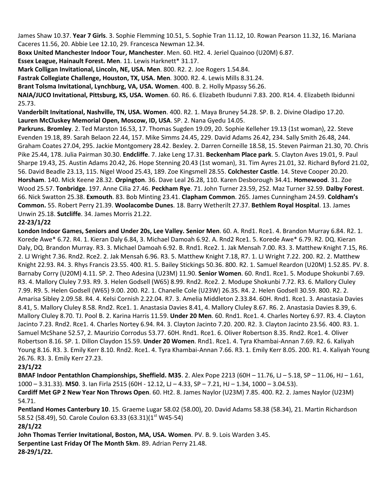James Shaw 10.37. **Year 7 Girls**. 3. Sophie Flemming 10.51, 5. Sophie Tran 11.12, 10. Rowan Pearson 11.32, 16. Mariana Caceres 11.56, 20. Abbie Lee 12.10, 29. Francesca Newman 12.34.

**Boxx United Manchester Indoor Tour, Manchester**. Men. 60. Ht2. 4. Jeriel Quainoo (U20M) 6.87.

**Essex League, Hainault Forest. Men**. 11. Lewis Harknett\* 31.17.

**Mark Colligan Invitational, Lincoln, NE, USA. Men**. 800. R2. 2. Joe Rogers 1.54.84.

**Fastrak Collegiate Challenge, Houston, TX, USA. Men**. 3000. R2. 4. Lewis Mills 8.31.24.

**Brant Tolsma Invitational, Lynchburg, VA, USA. Women**. 400. B. 2. Holly Mpassy 56.26.

**NAIA/JUCO Invitational, Pittsburg, KS, USA. Women**. 60. R6. 6. Elizabeth Ibudunni 7.83. 200. R14. 4. Elizabeth Ibidunni 25.73.

**Vanderbilt Invitational, Nashville, TN, USA. Women**. 400. R2. 1. Maya Bruney 54.28. SP. B. 2. Divine Oladipo 17.20. **Lauren McCluskey Memorial Open, Moscow, ID, USA**. SP. 2. Nana Gyedu 14.05.

**Parkruns. Bromley**. 2. Ted Marston 16.53, 17. Thomas Sugden 19.09, 20. Sophie Kelleher 19.13 (1st woman), 22. Steve Evenden 19.18, 89. Sarah Belaon 22.44, 157. Mike Simms 24.45, 229. David Adams 26.42, 234. Sally Smith 26.48, 244. Graham Coates 27.04, 295. Jackie Montgomery 28.42. Bexley. 2. Darren Corneille 18.58, 15. Steven Pairman 21.30, 70. Chris Pike 25.44, 178. Julia Pairman 30.30. **Endcliffe**. 7. Jake Leng 17.31. **Beckenham Place park**. 5. Clayton Aves 19.01, 9. Paul Sharpe 19.43, 25. Austin Adams 20.42, 26. Hope Stenning 20.43 (1st woman), 31. Tim Ayres 21.01, 32. Richard Byford 21.02, 56. David Beadle 23.13, 115. Nigel Wood 25.43, 189. Zoe Kingsmell 28.55. **Colchester Castle**. 14. Steve Cooper 20.20. **Horsham**. 140. Mick Keene 28.32. **Orpington**. 36. Dave Leal 26.28, 110. Karen Desborough 34.41. **Homewood**. 31. Zoe Wood 25.57. **Tonbridge**. 197. Anne Cilia 27.46. **Peckham Rye**. 71. John Turner 23.59, 252. Maz Turner 32.59. **Dalby Forest**. 66. Nick Swatton 25.38. **Exmouth**. 83. Bob Minting 23.41. **Clapham Common**. 265. James Cunningham 24.59. **Coldham's Common.** 55. Robert Perry 21.39. **Woolacombe Dunes**. 18. Barry Wetherilt 27.37. **Bethlem Royal Hospital**. 13. James Unwin 25.18. **Sutcliffe**. 34. James Morris 21.22.

## **22-23/1/22**

**London Indoor Games, Seniors and Under 20s, Lee Valley. Senior Men**. 60. A. Rnd1. Rce1. 4. Brandon Murray 6.84. R2. 1. Korede Awe\* 6.72. R4. 1. Kieran Daly 6.84, 3. Michael Damoah 6.92. A. Rnd2 Rce1. 5. Korede Awe\* 6.79. R2. DQ. Kieran Daly, DQ. Brandon Murray. R3. 3. Michael Damoah 6.92. B. Rnd1. Rce2. 1. Jak Mensah 7.00. R3. 3. Matthew Knight 7.15, R6. 2. LJ Wright 7.36. Rnd2. Rce2. 2. Jak Mensah 6.96. R3. 5. Matthew Knight 7.18, R7. 1. LJ Wright 7.22. 200. R2. 2. Matthew Knight 22.93. R4. 3. Rhys Francis 23.55. 400. R1. 5. Bailey Stickings 50.36. 800. R2. 1. Samuel Reardon (U20M) 1.52.85. PV. 8. Barnaby Corry (U20M) 4.11. SP. 2. Theo Adesina (U23M) 11.90. **Senior Women**. 60. Rnd1. Rce1. 5. Modupe Shokunbi 7.69. R3. 4. Mallory Cluley 7.93. R9. 3. Helen Godsell (W65) 8.99. Rnd2. Rce2. 2. Modupe Shokunbi 7.72. R3. 6. Mallory Cluley 7.99. R9. 5. Helen Godsell (W65) 9.00. 200. R2. 1. Chanelle Cole (U23W) 26.35. R4. 2. Helen Godsell 30.59. 800. R2. 2. Amarisa Sibley 2.09.58. R4. 4. Kelsi Cornish 2.22.04. R7. 3. Amelia Middleton 2.33.84. 60H. Rnd1. Rce1. 3. Anastasia Davies 8.41, 5. Mallory Cluley 8.58. Rnd2. Rce1. 1. Anastasia Davies 8.41, 4. Mallory Cluley 8.67. R6. 2. Anastasia Davies 8.39, 6. Mallory Cluley 8.70. TJ. Pool B. 2. Karina Harris 11.59. **Under 20 Men**. 60. Rnd1. Rce1. 4. Charles Nortey 6.97. R3. 4. Clayton Jacinto 7.23. Rnd2. Rce1. 4. Charles Nortey 6.94. R4. 3. Clayton Jacinto 7.20. 200. R2. 3. Clayton Jacinto 23.56. 400. R3. 1. Samuel McShane 52.57, 2. Maurizio Corrodus 53.77. 60H. Rnd1. Rce1. 6. Oliver Robertson 8.35. Rnd2. Rce1. 4. Oliver Robertson 8.16. SP. 1. Dillon Claydon 15.59. **Under 20 Women**. Rnd1. Rce1. 4. Tyra Khambai-Annan 7.69. R2. 6. Kaliyah Young 8.16. R3. 3. Emily Kerr 8.10. Rnd2. Rce1. 4. Tyra Khambai-Annan 7.66. R3. 1. Emily Kerr 8.05. 200. R1. 4. Kaliyah Young 26.76. R3. 3. Emily Kerr 27.23.

## **23/1/22**

**BMAF Indoor Pentathlon Championships, Sheffield. M35**. 2. Alex Pope 2213 (60H – 11.76, LJ – 5.18, SP – 11.06, HJ – 1.61, 1000 – 3.31.33). **M50**. 3. Ian Firla 2515 (60H - 12.12, LJ – 4.33, SP – 7.21, HJ – 1.34, 1000 – 3.04.53). **Cardiff Met GP 2 New Year Non Throws Open**. 60. Ht2. 8. James Naylor (U23M) 7.85. 400. R2. 2. James Naylor (U23M)

54.71.

**Pentland Homes Canterbury 10**. 15. Graeme Lugar 58.02 (58.00), 20. David Adams 58.38 (58.34), 21. Martin Richardson 58.52 (58.49), 50. Carole Coulon 63.33 (63.31)(1<sup>st</sup> W45-54)

**28/1/22**

**John Thomas Terrier Invitational, Boston, MA, USA. Women**. PV. B. 9. Lois Warden 3.45.

**Serpentine Last Friday Of The Month 5km**. 89. Adrian Perry 21.48.

**28-29/1/22.**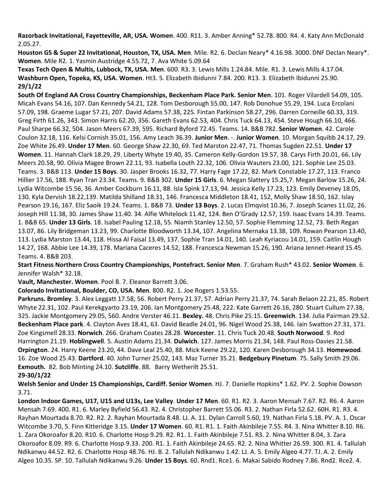**Razorback Invitational, Fayetteville, AR, USA. Women**. 400. R11. 3. Amber Anning\* 52.78. 800. R4. 4. Katy Ann McDonald 2.05.27.

**Houston GS & Super 22 Invitational, Houston, TX, USA. Men**. Mile. R2. 6. Declan Neary\* 4.16.98. 3000. DNF Declan Neary\*. **Women**. Mile R2. 1. Yasmin Austridge 4.55.72, 7. Ava White 5.09.64

**Texas Tech Open & Multis, Lubbock, TX, USA. Men**. 600. R3. 3. Lewis Mills 1.24.84. Mile. R1. 3. Lewis Mills 4.17.04. **Washburn Open, Topeka, KS, USA. Women**. Ht3. 5. Elizabeth Ibidunni 7.84. 200. R13. 3. Elizabeth Ibidunni 25.90. **29/1/22**

**South Of England AA Cross Country Championships, Beckenham Place Park. Senior Men**. 101. Roger Vilardell 54.09, 105. Micah Evans 54.16, 107. Dan Kennedy 54.21, 128. Tom Desborough 55.00, 147. Rob Donohue 55.29, 194. Luca Ercolani 57.09, 198. Graeme Lugar 57.21, 207. David Adams 57.38, 225. Fintan Parkinson 58.27, 296. Darren Corneille 60.33, 319. Greg Firth 61.26, 343. Simon Harris 62.20, 356. Gareth Evans 62.53, 404. Chris Tuck 64.13, 454. Steve Hough 66.10, 466. Paul Sharpe 66.32, 504. Jason Meers 67.39, 595. Richard Byford 72.45. Teams. 14. B&B 782. **Senior Women**. 42. Carole Coulon 32.18, 116. Kelsi Cornish 35.01, 156. Amy Leach 36.39. **Junior Men**. -. **Junior Women**. 10. Morgan Squibb 24.17, 29. Zoe White 26.49. **Under 17 Men**. 60. George Shaw 22.30, 69. Ted Marston 22.47, 71. Thomas Sugden 22.51. **Under 17 Women**. 11. Hannah Clark 18.29, 29. Liberty Whyte 19.40, 35. Cameron Kelly-Gordon 19.57, 38. Carys Firth 20.01, 66. Lily Meers 20.58, 90. Olivia Magee Brown 22.11, 93. Isabella Louth 22.32, 106. Olivia Wauters 23.00, 121. Sophie Lee 25.03. Teams. 3. B&B 113. **Under 15 Boys**. 30. Jasper Brooks 16.32, 77. Harry Fage 17.22, 82. Mark Constable 17.27, 113. Franco Hillier 17.56, 188. Ryan Tran 23.34. Teams. 9. B&B 302. **Under 15 Girls**. 6. Megan Slattery 15.25,7. Megan Barlow 15.26, 24. Lydia Witcombe 15.56, 36. Amber Cockburn 16.11, 88. Isla Spink 17.13, 94. Jessica Kelly 17.23, 123. Emily Deveney 18.05, 130. Kyla Dervish 18.22,139. Matilda Shilland 18.31, 146. Francesca Middleton 18.41, 152, Molly Shaw 18.50, 162. Islay Pearson 19.16, 167. Eliz Saoik 19.24. Teams. 1. B&B 73. **Under 13 Boys**. 2. Lucas Elmqvist 10.36, 7. Joseph Scanes 11.02, 26. Joseph Hill 11.38, 30. James Shaw 11.40. 34. Alfie Whitelock 11.42, 124. Ben O'Grady 12.57, 159. Isaac Evans 14.39. Teams. 1. B&B 65. **Under 13 Girls**. 18. Isabel Pauling 12.18, 55. Niamh Stanley 12.50, 57. Sophie Flemming 12.52, 73. Beth Regan 13.07, 86. Lily Bridgeman 13.23, 99. Charlotte Bloodworth 13.34, 107. Angelina Mernaka 13.38, 109. Rowan Pearson 13.40, 113. Lydia Marston 13.44, 118. Hissa Al Faisal 13.49, 137. Sophie Tran 14.01, 140. Leah Kyriacou 14.01, 159. Caitlin Hough 14.27, 168. Abbie Lee 14.39, 178. Mariana Caceres 14.52, 188. Francesca Newman 15.26, 190. Ariana Jennet-Heard 15.45. Teams. 4. B&B 203.

**Start Fitness Northern Cross Country Championships, Pontefract. Senior Men**. 7. Graham Rush\* 43.02. **Senior Women**. 6. Jennifer Walsh\* 32.18.

**Vault, Manchester. Women**. Pool B. 7. Eleanor Barrett 3.06.

**Colorado Invitational, Boulder, CO, USA. Men**. 800. R2. 1. Joe Rogers 1.53.55.

**Parkruns. Bromley**. 3. Alex Leggatt 17.58, 56. Robert Perry 21.37, 57. Adrian Perry 21.37, 74. Sarah Belaon 22.21, 85. Robert Whyte 22.31, 102. Paul Kerekgyarto 23.19, 206. Ian Montgomery 25.48, 222. Kate Garrett 26.16, 280. Stuart Cullum 27.38, 325. Jackie Montgomery 29.05, 560. Andre Verster 46.11. **Bexley.** 48. Chris Pike 25.15. **Greenwich**. 134. Julia Pairman 29.52. **Beckenham Place park**. 4. Clayton Aves 18.41, 63. David Beadle 24.01, 96. Nigel Wood 25.38, 146. Iain Swatton 27.31, 171. Zoe Kingsmell 28.33. **Norwich**. 266. Graham Coates 28.28. **Worcester**. 11. Chris Tuck 20.48. **South Norwood**. 9. Rod Harrington 21.19. **Hoblingwell**. 5. Austin Adams 21.34. **Dulwich**. 127. James Morris 21.34, 148. Paul Ross-Davies 21.58. **Orpington**. 24. Harry Keene 23.20, 44. Dave Leal 25.40, 88. Mick Keene 29.22, 120. Karen Desborough 34.13. **Homewood**. 16. Zoe Wood 25.43. **Dartford**. 40. John Turner 25.02, 143. Maz Turner 35.21. **Bedgebury Pinetum**. 75. Sally Smith 29.06. **Exmouth.** 82. Bob Minting 24.10. **Sutcliffe**. 88. Barry Wetherilt 25.51. **29-30/1/22**

**Welsh Senior and Under 15 Championships, Cardiff. Senior Women**. HJ. 7. Danielle Hopkins\* 1.62. PV. 2. Sophie Dowson 3.71.

**London Indoor Games, U17, U15 and U13s, Lee Valley**. **Under 17 Men**. 60. R1. R2. 3. Aaron Mensah 7.67. R2. R6. 4. Aaron Mensah 7.69. 400. R1. 6. Marley Byfield 56.43. R2. 4. Christopher Barrett 55.06. R3. 2. Nathan Firla 52.62. 60H. R1. R3. 4. Rayhan Mourtada 8.70. R2. R2. 2. Rayhan Mourtada 8.48. LJ. A. 11. Dylan Carroll 5.60, 19. Nathan Firla 5.18. PV. A. 1. Oscar Witcombe 3.70, 5. Finn Kitteridge 3.15. **Under 17 Women**. 60. R1. R1. 1. Faith Akinbileje 7.55. R4. 3. Nina Whitter 8.10. R6. 1. Zara Okoroafor 8.20. R10. 6. Charlotte Hosp 9.29. R2. R1. 1. Faith Akinbileje 7.51. R3. 2. Nina Whitter 8.04, 3. Zara Okoroafor 8.09. R9. 6. Charlotte Hosp 9.33. 200. R1. 1. Faith Akinbileje 24.65. R2. 2. Nina Whitter 26.59. 300. R1. 4. Tallulah Ndikanwu 44.52. R2. 6. Charlotte Hosp 48.76. HJ. B. 2. Tallulah Ndikanwu 1.42. LJ. A. 5. Emily Algeo 4.77. TJ. A. 2. Emily Algeo 10.35. SP. 10. Tallulah Ndikanwu 9.26. **Under 15 Boys**. 60. Rnd1. Rce1. 6. Makai Sabido Rodney 7.86. Rnd2. Rce2. 4.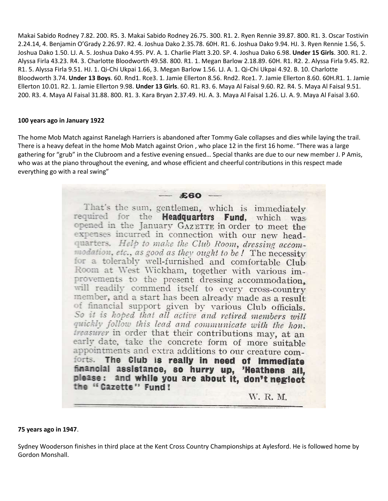Makai Sabido Rodney 7.82. 200. R5. 3. Makai Sabido Rodney 26.75. 300. R1. 2. Ryen Rennie 39.87. 800. R1. 3. Oscar Tostivin 2.24.14, 4. Benjamin O'Grady 2.26.97. R2. 4. Joshua Dako 2.35.78. 60H. R1. 6. Joshua Dako 9.94. HJ. 3. Ryen Rennie 1.56, 5. Joshua Dako 1.50. LJ. A. 5. Joshua Dako 4.95. PV. A. 1. Charlie Platt 3.20. SP. 4. Joshua Dako 6.98. **Under 15 Girls**. 300. R1. 2. Alyssa Firla 43.23. R4. 3. Charlotte Bloodworth 49.58. 800. R1. 1. Megan Barlow 2.18.89. 60H. R1. R2. 2. Alyssa Firla 9.45. R2. R1. 5. Alyssa Firla 9.51. HJ. 1. Qi-Chi Ukpai 1.66, 3. Megan Barlow 1.56. LJ. A. 1. Qi-Chi Ukpai 4.92. B. 10. Charlotte Bloodworth 3.74. **Under 13 Boys**. 60. Rnd1. Rce3. 1. Jamie Ellerton 8.56. Rnd2. Rce1. 7. Jamie Ellerton 8.60. 60H.R1. 1. Jamie Ellerton 10.01. R2. 1. Jamie Ellerton 9.98. **Under 13 Girls**. 60. R1. R3. 6. Maya Al Faisal 9.60. R2. R4. 5. Maya Al Faisal 9.51. 200. R3. 4. Maya Al Faisal 31.88. 800. R1. 3. Kara Bryan 2.37.49. HJ. A. 3. Maya Al Faisal 1.26. LJ. A. 9. Maya Al Faisal 3.60.

#### **100 years ago in January 1922**

The home Mob Match against Ranelagh Harriers is abandoned after Tommy Gale collapses and dies while laying the trail. There is a heavy defeat in the home Mob Match against Orion , who place 12 in the first 16 home. "There was a large gathering for "grub" in the Clubroom and a festive evening ensued… Special thanks are due to our new member J. P Amis, who was at the piano throughout the evening, and whose efficient and cheerful contributions in this respect made everything go with a real swing"

> $£60$ That's the sum, gentlemen, which is immediately required for the Headquarters Fund, which was opened in the January GAZETTE in order to meet the expenses incurred in connection with our new headquarters. Help to make the Club Room, dressing accommodation, etc., as good as they ought to be! The necessity for a tolerably well-furnished and comfortable Club Room at West Wickham, together with various improvements to the present dressing accommodation, will readily commend itself to every cross-country member, and a start has been already made as a result of financial support given by various Club officials. So it is hoped that all active and retired members will quickly follow this lead and communicate with the hon. treasurer in order that their contributions may, at an early date, take the concrete form of more suitable appointments and extra additions to our creature comforts. The Club is really in need of immediate financial assistance, so hurry up, 'Heathens all, please: and while you are about it, don't neglect the "Cazette" Fund! W. R. M.

**75 years ago in 1947**.

Sydney Wooderson finishes in third place at the Kent Cross Country Championships at Aylesford. He is followed home by Gordon Monshall.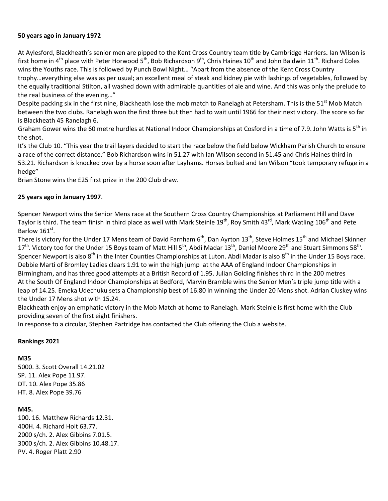## **50 years ago in January 1972**

At Aylesford, Blackheath's senior men are pipped to the Kent Cross Country team title by Cambridge Harriers**.** Ian Wilson is first home in 4<sup>th</sup> place with Peter Horwood 5<sup>th</sup>, Bob Richardson 9<sup>th</sup>, Chris Haines 10<sup>th</sup> and John Baldwin 11<sup>th</sup>. Richard Coles wins the Youths race. This is followed by Punch Bowl Night… "Apart from the absence of the Kent Cross Country trophy…everything else was as per usual; an excellent meal of steak and kidney pie with lashings of vegetables, followed by the equally traditional Stilton, all washed down with admirable quantities of ale and wine. And this was only the prelude to the real business of the evening…"

Despite packing six in the first nine, Blackheath lose the mob match to Ranelagh at Petersham. This is the 51<sup>st</sup> Mob Match between the two clubs. Ranelagh won the first three but then had to wait until 1966 for their next victory. The score so far is Blackheath 45 Ranelagh 6.

Graham Gower wins the 60 metre hurdles at National Indoor Championships at Cosford in a time of 7.9. John Watts is 5<sup>th</sup> in the shot.

It's the Club 10. "This year the trail layers decided to start the race below the field below Wickham Parish Church to ensure a race of the correct distance." Bob Richardson wins in 51.27 with Ian Wilson second in 51.45 and Chris Haines third in 53.21. Richardson is knocked over by a horse soon after Layhams. Horses bolted and Ian Wilson "took temporary refuge in a hedge"

Brian Stone wins the £25 first prize in the 200 Club draw.

#### **25 years ago in January 1997**.

Spencer Newport wins the Senior Mens race at the Southern Cross Country Championships at Parliament Hill and Dave Taylor is third. The team finish in third place as well with Mark Steinle 19<sup>th</sup>, Roy Smith 43<sup>rd</sup>, Mark Watling 106<sup>th</sup> and Pete Barlow  $161^{st}$ .

There is victory for the Under 17 Mens team of David Farnham  $6<sup>th</sup>$ , Dan Ayrton 13<sup>th</sup>, Steve Holmes 15<sup>th</sup> and Michael Skinner  $17<sup>th</sup>$ . Victory too for the Under 15 Boys team of Matt Hill 5<sup>th</sup>, Abdi Madar 13<sup>th</sup>, Daniel Moore 29<sup>th</sup> and Stuart Simmons 58<sup>th</sup>. Spencer Newport is also  $8<sup>th</sup>$  in the Inter Counties Championships at Luton. Abdi Madar is also  $8<sup>th</sup>$  in the Under 15 Boys race. Debbie Marti of Bromley Ladies clears 1.91 to win the high jump at the AAA of England Indoor Championships in Birmingham, and has three good attempts at a British Record of 1.95. Julian Golding finishes third in the 200 metres At the South Of England Indoor Championships at Bedford, Marvin Bramble wins the Senior Men's triple jump title with a leap of 14.25. Emeka Udechuku sets a Championship best of 16.80 in winning the Under 20 Mens shot. Adrian Cluskey wins the Under 17 Mens shot with 15.24.

Blackheath enjoy an emphatic victory in the Mob Match at home to Ranelagh. Mark Steinle is first home with the Club providing seven of the first eight finishers.

In response to a circular, Stephen Partridge has contacted the Club offering the Club a website.

#### **Rankings 2021**

**M35**

5000. 3. Scott Overall 14.21.02 SP. 11. Alex Pope 11.97. DT. 10. Alex Pope 35.86 HT. 8. Alex Pope 39.76

#### **M45.**

100. 16. Matthew Richards 12.31. 400H. 4. Richard Holt 63.77. 2000 s/ch. 2. Alex Gibbins 7.01.5. 3000 s/ch. 2. Alex Gibbins 10.48.17. PV. 4. Roger Platt 2.90